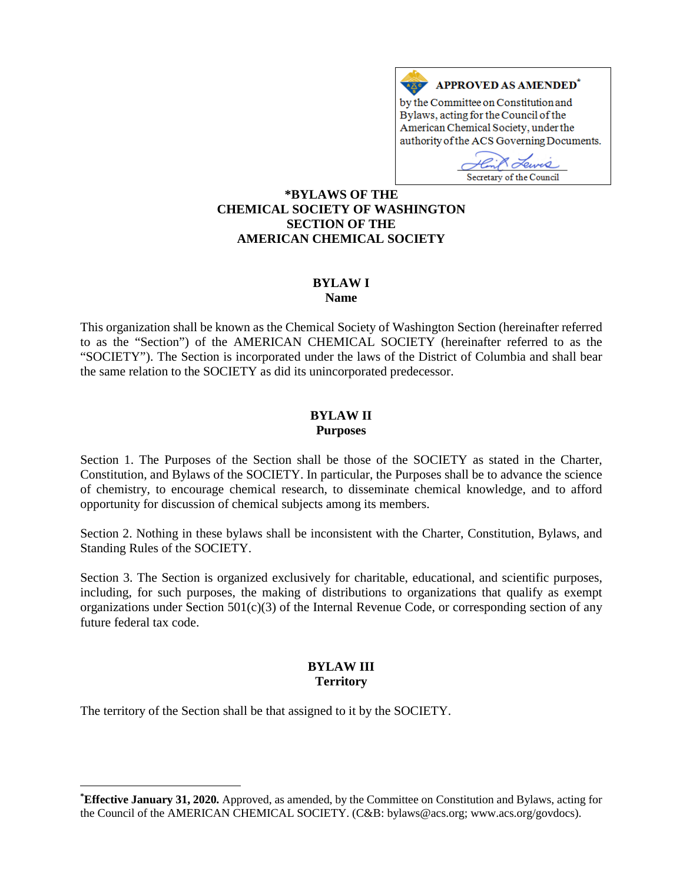

Secretary of the Council

**[\\*](#page-0-0)BYLAWS OF THE CHEMICAL SOCIETY OF WASHINGTON SECTION OF THE AMERICAN CHEMICAL SOCIETY**

#### **BYLAW I**

#### **Name**

This organization shall be known as the Chemical Society of Washington Section (hereinafter referred to as the "Section") of the AMERICAN CHEMICAL SOCIETY (hereinafter referred to as the "SOCIETY"). The Section is incorporated under the laws of the District of Columbia and shall bear the same relation to the SOCIETY as did its unincorporated predecessor.

#### **BYLAW II Purposes**

Section 1. The Purposes of the Section shall be those of the SOCIETY as stated in the Charter, Constitution, and Bylaws of the SOCIETY. In particular, the Purposes shall be to advance the science of chemistry, to encourage chemical research, to disseminate chemical knowledge, and to afford opportunity for discussion of chemical subjects among its members.

Section 2. Nothing in these bylaws shall be inconsistent with the Charter, Constitution, Bylaws, and Standing Rules of the SOCIETY.

Section 3. The Section is organized exclusively for charitable, educational, and scientific purposes, including, for such purposes, the making of distributions to organizations that qualify as exempt organizations under Section 501(c)(3) of the Internal Revenue Code, or corresponding section of any future federal tax code.

### **BYLAW III Territory**

The territory of the Section shall be that assigned to it by the SOCIETY.

 $\overline{a}$ 

<span id="page-0-0"></span>**<sup>\*</sup> Effective January 31, 2020.** Approved, as amended, by the Committee on Constitution and Bylaws, acting for the Council of the AMERICAN CHEMICAL SOCIETY. (C&B: bylaws@acs.org; www.acs.org/govdocs).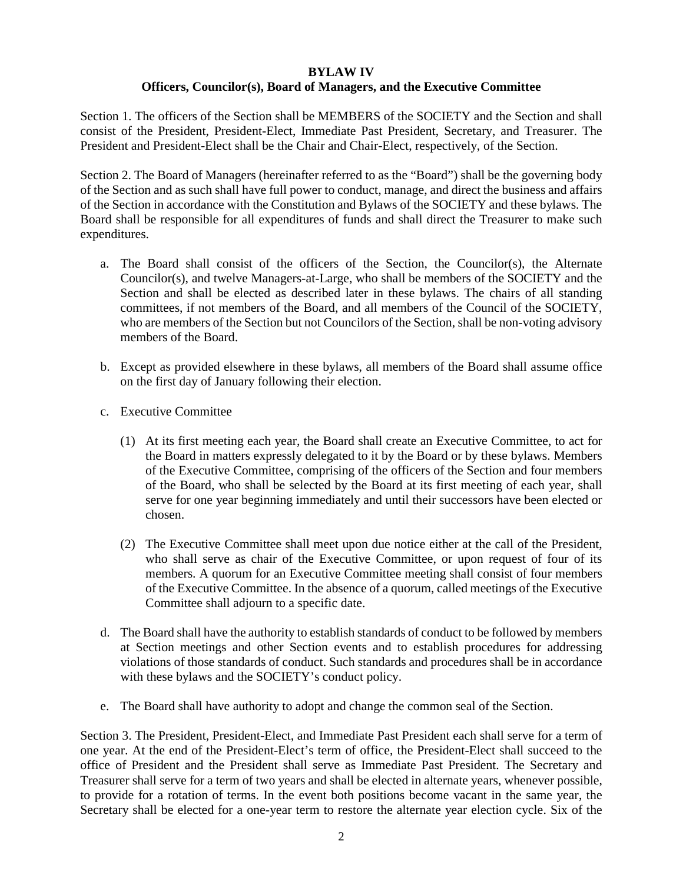#### **BYLAW IV Officers, Councilor(s), Board of Managers, and the Executive Committee**

Section 1. The officers of the Section shall be MEMBERS of the SOCIETY and the Section and shall consist of the President, President-Elect, Immediate Past President, Secretary, and Treasurer. The President and President-Elect shall be the Chair and Chair-Elect, respectively, of the Section.

Section 2. The Board of Managers (hereinafter referred to as the "Board") shall be the governing body of the Section and as such shall have full power to conduct, manage, and direct the business and affairs of the Section in accordance with the Constitution and Bylaws of the SOCIETY and these bylaws. The Board shall be responsible for all expenditures of funds and shall direct the Treasurer to make such expenditures.

- a. The Board shall consist of the officers of the Section, the Councilor(s), the Alternate Councilor(s), and twelve Managers-at-Large, who shall be members of the SOCIETY and the Section and shall be elected as described later in these bylaws. The chairs of all standing committees, if not members of the Board, and all members of the Council of the SOCIETY, who are members of the Section but not Councilors of the Section, shall be non-voting advisory members of the Board.
- b. Except as provided elsewhere in these bylaws, all members of the Board shall assume office on the first day of January following their election.
- c. Executive Committee
	- (1) At its first meeting each year, the Board shall create an Executive Committee, to act for the Board in matters expressly delegated to it by the Board or by these bylaws. Members of the Executive Committee, comprising of the officers of the Section and four members of the Board, who shall be selected by the Board at its first meeting of each year, shall serve for one year beginning immediately and until their successors have been elected or chosen.
	- (2) The Executive Committee shall meet upon due notice either at the call of the President, who shall serve as chair of the Executive Committee, or upon request of four of its members. A quorum for an Executive Committee meeting shall consist of four members of the Executive Committee. In the absence of a quorum, called meetings of the Executive Committee shall adjourn to a specific date.
- d. The Board shall have the authority to establish standards of conduct to be followed by members at Section meetings and other Section events and to establish procedures for addressing violations of those standards of conduct. Such standards and procedures shall be in accordance with these bylaws and the SOCIETY's conduct policy.
- e. The Board shall have authority to adopt and change the common seal of the Section.

Section 3. The President, President-Elect, and Immediate Past President each shall serve for a term of one year. At the end of the President-Elect's term of office, the President-Elect shall succeed to the office of President and the President shall serve as Immediate Past President. The Secretary and Treasurer shall serve for a term of two years and shall be elected in alternate years, whenever possible, to provide for a rotation of terms. In the event both positions become vacant in the same year, the Secretary shall be elected for a one-year term to restore the alternate year election cycle. Six of the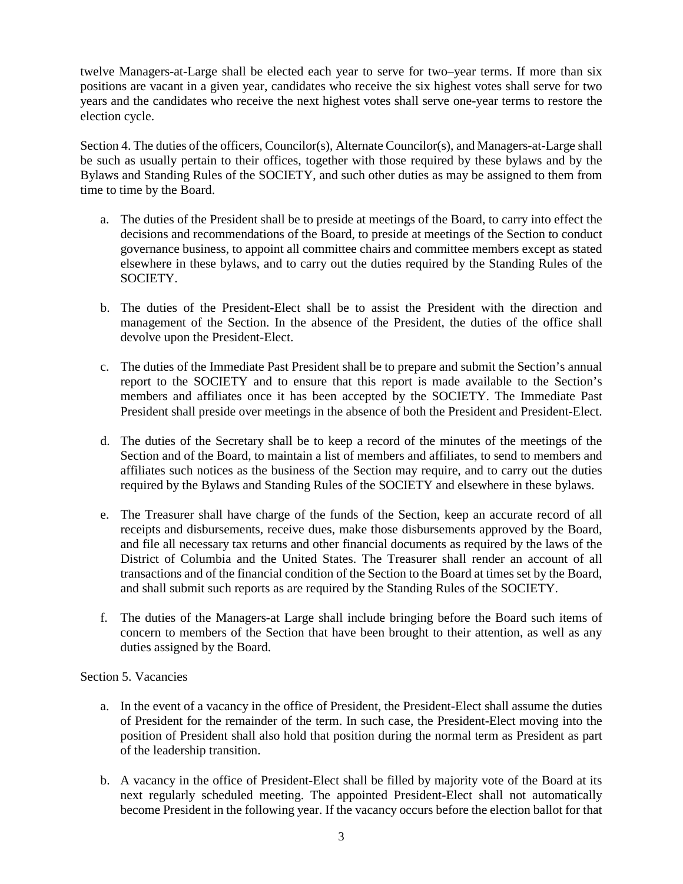twelve Managers-at-Large shall be elected each year to serve for two–year terms. If more than six positions are vacant in a given year, candidates who receive the six highest votes shall serve for two years and the candidates who receive the next highest votes shall serve one-year terms to restore the election cycle.

Section 4. The duties of the officers, Councilor(s), Alternate Councilor(s), and Managers-at-Large shall be such as usually pertain to their offices, together with those required by these bylaws and by the Bylaws and Standing Rules of the SOCIETY, and such other duties as may be assigned to them from time to time by the Board.

- a. The duties of the President shall be to preside at meetings of the Board, to carry into effect the decisions and recommendations of the Board, to preside at meetings of the Section to conduct governance business, to appoint all committee chairs and committee members except as stated elsewhere in these bylaws, and to carry out the duties required by the Standing Rules of the SOCIETY.
- b. The duties of the President-Elect shall be to assist the President with the direction and management of the Section. In the absence of the President, the duties of the office shall devolve upon the President-Elect.
- c. The duties of the Immediate Past President shall be to prepare and submit the Section's annual report to the SOCIETY and to ensure that this report is made available to the Section's members and affiliates once it has been accepted by the SOCIETY. The Immediate Past President shall preside over meetings in the absence of both the President and President-Elect.
- d. The duties of the Secretary shall be to keep a record of the minutes of the meetings of the Section and of the Board, to maintain a list of members and affiliates, to send to members and affiliates such notices as the business of the Section may require, and to carry out the duties required by the Bylaws and Standing Rules of the SOCIETY and elsewhere in these bylaws.
- e. The Treasurer shall have charge of the funds of the Section, keep an accurate record of all receipts and disbursements, receive dues, make those disbursements approved by the Board, and file all necessary tax returns and other financial documents as required by the laws of the District of Columbia and the United States. The Treasurer shall render an account of all transactions and of the financial condition of the Section to the Board at times set by the Board, and shall submit such reports as are required by the Standing Rules of the SOCIETY.
- f. The duties of the Managers-at Large shall include bringing before the Board such items of concern to members of the Section that have been brought to their attention, as well as any duties assigned by the Board.

# Section 5. Vacancies

- a. In the event of a vacancy in the office of President, the President-Elect shall assume the duties of President for the remainder of the term. In such case, the President-Elect moving into the position of President shall also hold that position during the normal term as President as part of the leadership transition.
- b. A vacancy in the office of President-Elect shall be filled by majority vote of the Board at its next regularly scheduled meeting. The appointed President-Elect shall not automatically become President in the following year. If the vacancy occurs before the election ballot for that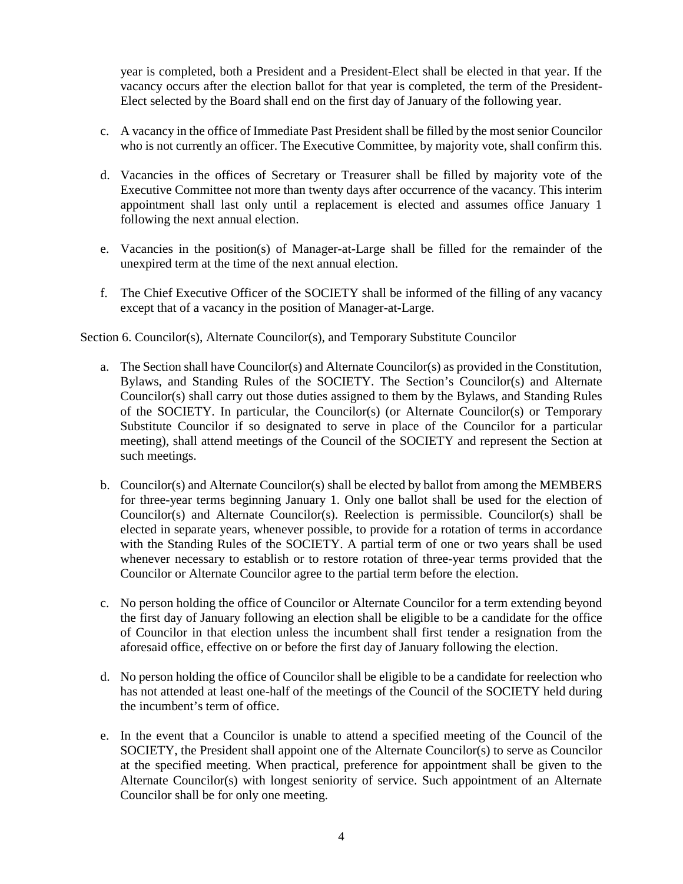year is completed, both a President and a President-Elect shall be elected in that year. If the vacancy occurs after the election ballot for that year is completed, the term of the President-Elect selected by the Board shall end on the first day of January of the following year.

- c. A vacancy in the office of Immediate Past President shall be filled by the most senior Councilor who is not currently an officer. The Executive Committee, by majority vote, shall confirm this.
- d. Vacancies in the offices of Secretary or Treasurer shall be filled by majority vote of the Executive Committee not more than twenty days after occurrence of the vacancy. This interim appointment shall last only until a replacement is elected and assumes office January 1 following the next annual election.
- e. Vacancies in the position(s) of Manager-at-Large shall be filled for the remainder of the unexpired term at the time of the next annual election.
- f. The Chief Executive Officer of the SOCIETY shall be informed of the filling of any vacancy except that of a vacancy in the position of Manager-at-Large.

Section 6. Councilor(s), Alternate Councilor(s), and Temporary Substitute Councilor

- a. The Section shall have Councilor(s) and Alternate Councilor(s) as provided in the Constitution, Bylaws, and Standing Rules of the SOCIETY. The Section's Councilor(s) and Alternate Councilor(s) shall carry out those duties assigned to them by the Bylaws, and Standing Rules of the SOCIETY. In particular, the Councilor(s) (or Alternate Councilor(s) or Temporary Substitute Councilor if so designated to serve in place of the Councilor for a particular meeting), shall attend meetings of the Council of the SOCIETY and represent the Section at such meetings.
- b. Councilor(s) and Alternate Councilor(s) shall be elected by ballot from among the MEMBERS for three-year terms beginning January 1. Only one ballot shall be used for the election of Councilor(s) and Alternate Councilor(s). Reelection is permissible. Councilor(s) shall be elected in separate years, whenever possible, to provide for a rotation of terms in accordance with the Standing Rules of the SOCIETY. A partial term of one or two years shall be used whenever necessary to establish or to restore rotation of three-year terms provided that the Councilor or Alternate Councilor agree to the partial term before the election.
- c. No person holding the office of Councilor or Alternate Councilor for a term extending beyond the first day of January following an election shall be eligible to be a candidate for the office of Councilor in that election unless the incumbent shall first tender a resignation from the aforesaid office, effective on or before the first day of January following the election.
- d. No person holding the office of Councilor shall be eligible to be a candidate for reelection who has not attended at least one-half of the meetings of the Council of the SOCIETY held during the incumbent's term of office.
- e. In the event that a Councilor is unable to attend a specified meeting of the Council of the SOCIETY, the President shall appoint one of the Alternate Councilor(s) to serve as Councilor at the specified meeting. When practical, preference for appointment shall be given to the Alternate Councilor(s) with longest seniority of service. Such appointment of an Alternate Councilor shall be for only one meeting.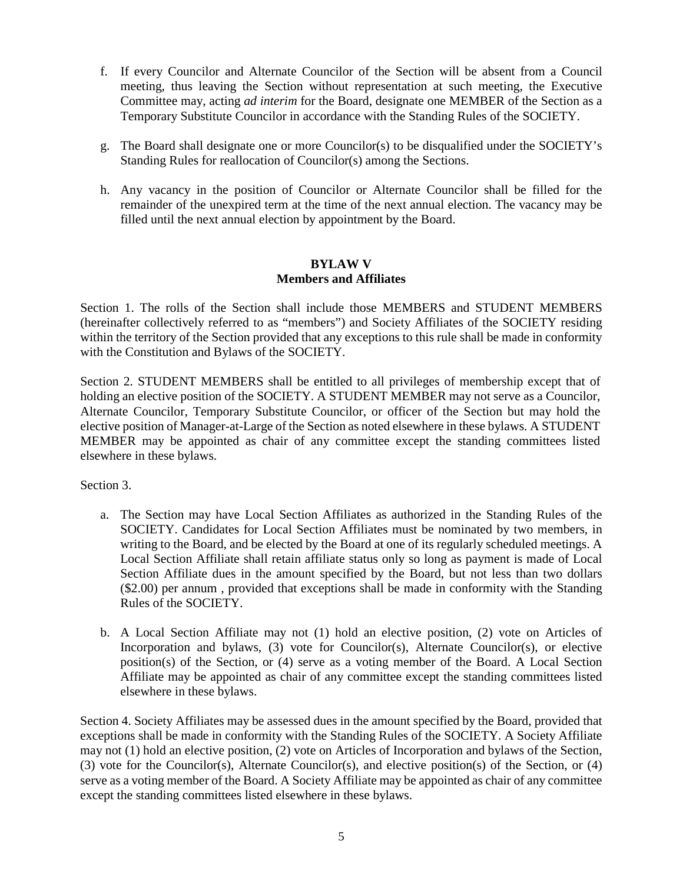- f. If every Councilor and Alternate Councilor of the Section will be absent from a Council meeting, thus leaving the Section without representation at such meeting, the Executive Committee may, acting *ad interim* for the Board, designate one MEMBER of the Section as a Temporary Substitute Councilor in accordance with the Standing Rules of the SOCIETY.
- g. The Board shall designate one or more Councilor(s) to be disqualified under the SOCIETY's Standing Rules for reallocation of Councilor(s) among the Sections.
- h. Any vacancy in the position of Councilor or Alternate Councilor shall be filled for the remainder of the unexpired term at the time of the next annual election. The vacancy may be filled until the next annual election by appointment by the Board.

#### **BYLAW V Members and Affiliates**

Section 1. The rolls of the Section shall include those MEMBERS and STUDENT MEMBERS (hereinafter collectively referred to as "members") and Society Affiliates of the SOCIETY residing within the territory of the Section provided that any exceptions to this rule shall be made in conformity with the Constitution and Bylaws of the SOCIETY.

Section 2. STUDENT MEMBERS shall be entitled to all privileges of membership except that of holding an elective position of the SOCIETY. A STUDENT MEMBER may not serve as a Councilor, Alternate Councilor, Temporary Substitute Councilor, or officer of the Section but may hold the elective position of Manager-at-Large of the Section as noted elsewhere in these bylaws. A STUDENT MEMBER may be appointed as chair of any committee except the standing committees listed elsewhere in these bylaws.

Section 3.

- a. The Section may have Local Section Affiliates as authorized in the Standing Rules of the SOCIETY. Candidates for Local Section Affiliates must be nominated by two members, in writing to the Board, and be elected by the Board at one of its regularly scheduled meetings. A Local Section Affiliate shall retain affiliate status only so long as payment is made of Local Section Affiliate dues in the amount specified by the Board, but not less than two dollars (\$2.00) per annum , provided that exceptions shall be made in conformity with the Standing Rules of the SOCIETY.
- b. A Local Section Affiliate may not (1) hold an elective position, (2) vote on Articles of Incorporation and bylaws, (3) vote for Councilor(s), Alternate Councilor(s), or elective position(s) of the Section, or (4) serve as a voting member of the Board. A Local Section Affiliate may be appointed as chair of any committee except the standing committees listed elsewhere in these bylaws.

Section 4. Society Affiliates may be assessed dues in the amount specified by the Board, provided that exceptions shall be made in conformity with the Standing Rules of the SOCIETY. A Society Affiliate may not (1) hold an elective position, (2) vote on Articles of Incorporation and bylaws of the Section, (3) vote for the Councilor(s), Alternate Councilor(s), and elective position(s) of the Section, or (4) serve as a voting member of the Board. A Society Affiliate may be appointed as chair of any committee except the standing committees listed elsewhere in these bylaws.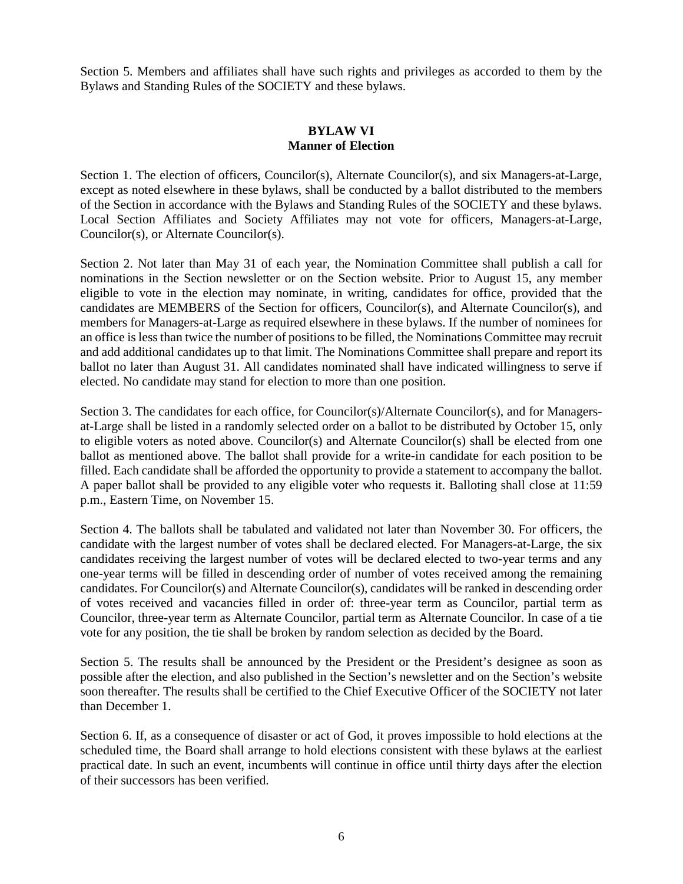Section 5. Members and affiliates shall have such rights and privileges as accorded to them by the Bylaws and Standing Rules of the SOCIETY and these bylaws.

#### **BYLAW VI Manner of Election**

Section 1. The election of officers, Councilor(s), Alternate Councilor(s), and six Managers-at-Large, except as noted elsewhere in these bylaws, shall be conducted by a ballot distributed to the members of the Section in accordance with the Bylaws and Standing Rules of the SOCIETY and these bylaws. Local Section Affiliates and Society Affiliates may not vote for officers, Managers-at-Large, Councilor(s), or Alternate Councilor(s).

Section 2. Not later than May 31 of each year, the Nomination Committee shall publish a call for nominations in the Section newsletter or on the Section website. Prior to August 15, any member eligible to vote in the election may nominate, in writing, candidates for office, provided that the candidates are MEMBERS of the Section for officers, Councilor(s), and Alternate Councilor(s), and members for Managers-at-Large as required elsewhere in these bylaws. If the number of nominees for an office is less than twice the number of positions to be filled, the Nominations Committee may recruit and add additional candidates up to that limit. The Nominations Committee shall prepare and report its ballot no later than August 31. All candidates nominated shall have indicated willingness to serve if elected. No candidate may stand for election to more than one position.

Section 3. The candidates for each office, for Councilor(s)/Alternate Councilor(s), and for Managersat-Large shall be listed in a randomly selected order on a ballot to be distributed by October 15, only to eligible voters as noted above. Councilor(s) and Alternate Councilor(s) shall be elected from one ballot as mentioned above. The ballot shall provide for a write-in candidate for each position to be filled. Each candidate shall be afforded the opportunity to provide a statement to accompany the ballot. A paper ballot shall be provided to any eligible voter who requests it. Balloting shall close at 11:59 p.m., Eastern Time, on November 15.

Section 4. The ballots shall be tabulated and validated not later than November 30. For officers, the candidate with the largest number of votes shall be declared elected. For Managers-at-Large, the six candidates receiving the largest number of votes will be declared elected to two-year terms and any one-year terms will be filled in descending order of number of votes received among the remaining candidates. For Councilor(s) and Alternate Councilor(s), candidates will be ranked in descending order of votes received and vacancies filled in order of: three-year term as Councilor, partial term as Councilor, three-year term as Alternate Councilor, partial term as Alternate Councilor. In case of a tie vote for any position, the tie shall be broken by random selection as decided by the Board.

Section 5. The results shall be announced by the President or the President's designee as soon as possible after the election, and also published in the Section's newsletter and on the Section's website soon thereafter. The results shall be certified to the Chief Executive Officer of the SOCIETY not later than December 1.

Section 6. If, as a consequence of disaster or act of God, it proves impossible to hold elections at the scheduled time, the Board shall arrange to hold elections consistent with these bylaws at the earliest practical date. In such an event, incumbents will continue in office until thirty days after the election of their successors has been verified.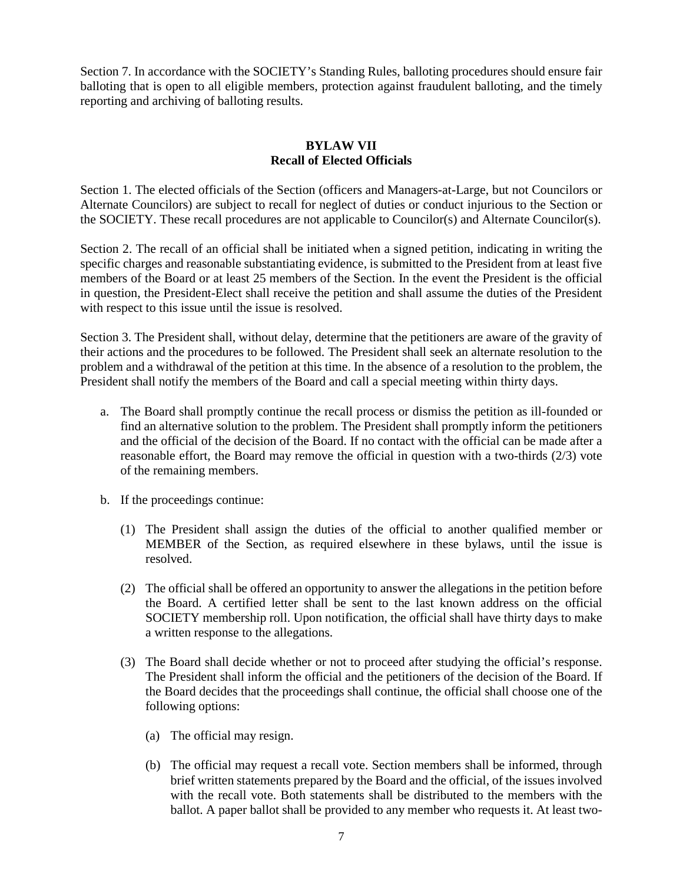Section 7. In accordance with the SOCIETY's Standing Rules, balloting procedures should ensure fair balloting that is open to all eligible members, protection against fraudulent balloting, and the timely reporting and archiving of balloting results.

# **BYLAW VII Recall of Elected Officials**

Section 1. The elected officials of the Section (officers and Managers-at-Large, but not Councilors or Alternate Councilors) are subject to recall for neglect of duties or conduct injurious to the Section or the SOCIETY. These recall procedures are not applicable to Councilor(s) and Alternate Councilor(s).

Section 2. The recall of an official shall be initiated when a signed petition, indicating in writing the specific charges and reasonable substantiating evidence, is submitted to the President from at least five members of the Board or at least 25 members of the Section. In the event the President is the official in question, the President-Elect shall receive the petition and shall assume the duties of the President with respect to this issue until the issue is resolved.

Section 3. The President shall, without delay, determine that the petitioners are aware of the gravity of their actions and the procedures to be followed. The President shall seek an alternate resolution to the problem and a withdrawal of the petition at this time. In the absence of a resolution to the problem, the President shall notify the members of the Board and call a special meeting within thirty days.

- a. The Board shall promptly continue the recall process or dismiss the petition as ill-founded or find an alternative solution to the problem. The President shall promptly inform the petitioners and the official of the decision of the Board. If no contact with the official can be made after a reasonable effort, the Board may remove the official in question with a two-thirds (2/3) vote of the remaining members.
- b. If the proceedings continue:
	- (1) The President shall assign the duties of the official to another qualified member or MEMBER of the Section, as required elsewhere in these bylaws, until the issue is resolved.
	- (2) The official shall be offered an opportunity to answer the allegations in the petition before the Board. A certified letter shall be sent to the last known address on the official SOCIETY membership roll. Upon notification, the official shall have thirty days to make a written response to the allegations.
	- (3) The Board shall decide whether or not to proceed after studying the official's response. The President shall inform the official and the petitioners of the decision of the Board. If the Board decides that the proceedings shall continue, the official shall choose one of the following options:
		- (a) The official may resign.
		- (b) The official may request a recall vote. Section members shall be informed, through brief written statements prepared by the Board and the official, of the issues involved with the recall vote. Both statements shall be distributed to the members with the ballot. A paper ballot shall be provided to any member who requests it. At least two-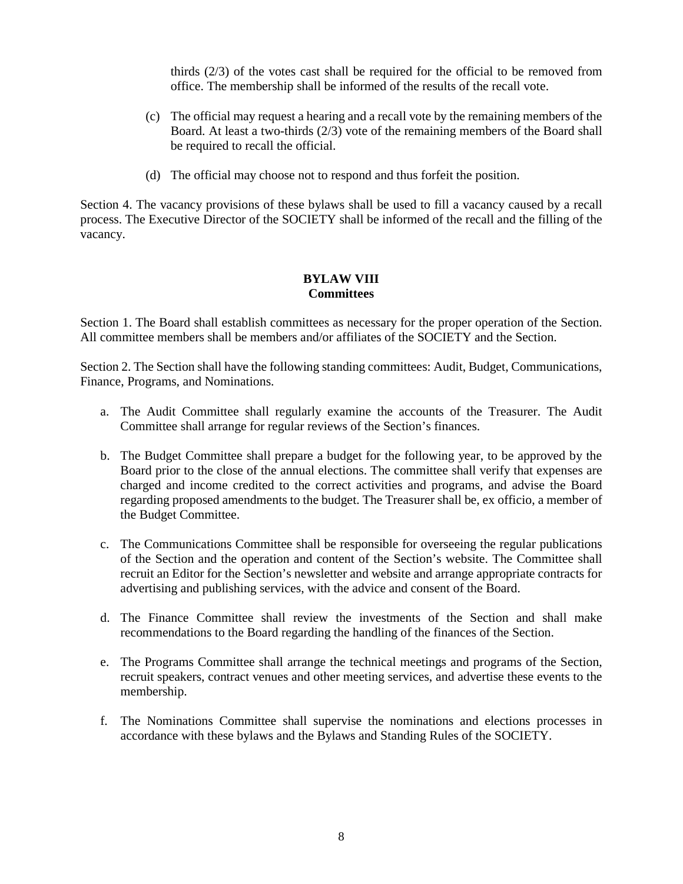thirds (2/3) of the votes cast shall be required for the official to be removed from office. The membership shall be informed of the results of the recall vote.

- (c) The official may request a hearing and a recall vote by the remaining members of the Board. At least a two-thirds (2/3) vote of the remaining members of the Board shall be required to recall the official.
- (d) The official may choose not to respond and thus forfeit the position.

Section 4. The vacancy provisions of these bylaws shall be used to fill a vacancy caused by a recall process. The Executive Director of the SOCIETY shall be informed of the recall and the filling of the vacancy.

## **BYLAW VIII Committees**

Section 1. The Board shall establish committees as necessary for the proper operation of the Section. All committee members shall be members and/or affiliates of the SOCIETY and the Section.

Section 2. The Section shall have the following standing committees: Audit, Budget, Communications, Finance, Programs, and Nominations.

- a. The Audit Committee shall regularly examine the accounts of the Treasurer. The Audit Committee shall arrange for regular reviews of the Section's finances.
- b. The Budget Committee shall prepare a budget for the following year, to be approved by the Board prior to the close of the annual elections. The committee shall verify that expenses are charged and income credited to the correct activities and programs, and advise the Board regarding proposed amendments to the budget. The Treasurer shall be, ex officio, a member of the Budget Committee.
- c. The Communications Committee shall be responsible for overseeing the regular publications of the Section and the operation and content of the Section's website. The Committee shall recruit an Editor for the Section's newsletter and website and arrange appropriate contracts for advertising and publishing services, with the advice and consent of the Board.
- d. The Finance Committee shall review the investments of the Section and shall make recommendations to the Board regarding the handling of the finances of the Section.
- e. The Programs Committee shall arrange the technical meetings and programs of the Section, recruit speakers, contract venues and other meeting services, and advertise these events to the membership.
- f. The Nominations Committee shall supervise the nominations and elections processes in accordance with these bylaws and the Bylaws and Standing Rules of the SOCIETY.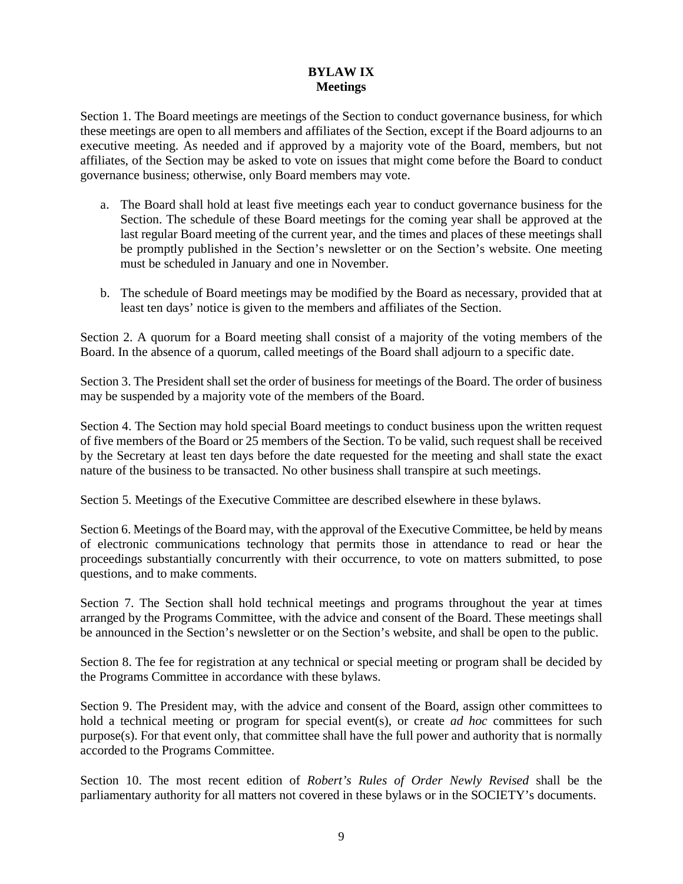## **BYLAW IX Meetings**

Section 1. The Board meetings are meetings of the Section to conduct governance business, for which these meetings are open to all members and affiliates of the Section, except if the Board adjourns to an executive meeting. As needed and if approved by a majority vote of the Board, members, but not affiliates, of the Section may be asked to vote on issues that might come before the Board to conduct governance business; otherwise, only Board members may vote.

- a. The Board shall hold at least five meetings each year to conduct governance business for the Section. The schedule of these Board meetings for the coming year shall be approved at the last regular Board meeting of the current year, and the times and places of these meetings shall be promptly published in the Section's newsletter or on the Section's website. One meeting must be scheduled in January and one in November.
- b. The schedule of Board meetings may be modified by the Board as necessary, provided that at least ten days' notice is given to the members and affiliates of the Section.

Section 2. A quorum for a Board meeting shall consist of a majority of the voting members of the Board. In the absence of a quorum, called meetings of the Board shall adjourn to a specific date.

Section 3. The President shall set the order of business for meetings of the Board. The order of business may be suspended by a majority vote of the members of the Board.

Section 4. The Section may hold special Board meetings to conduct business upon the written request of five members of the Board or 25 members of the Section. To be valid, such request shall be received by the Secretary at least ten days before the date requested for the meeting and shall state the exact nature of the business to be transacted. No other business shall transpire at such meetings.

Section 5. Meetings of the Executive Committee are described elsewhere in these bylaws.

Section 6. Meetings of the Board may, with the approval of the Executive Committee, be held by means of electronic communications technology that permits those in attendance to read or hear the proceedings substantially concurrently with their occurrence, to vote on matters submitted, to pose questions, and to make comments.

Section 7. The Section shall hold technical meetings and programs throughout the year at times arranged by the Programs Committee, with the advice and consent of the Board. These meetings shall be announced in the Section's newsletter or on the Section's website, and shall be open to the public.

Section 8. The fee for registration at any technical or special meeting or program shall be decided by the Programs Committee in accordance with these bylaws.

Section 9. The President may, with the advice and consent of the Board, assign other committees to hold a technical meeting or program for special event(s), or create *ad hoc* committees for such purpose(s). For that event only, that committee shall have the full power and authority that is normally accorded to the Programs Committee.

Section 10. The most recent edition of *Robert's Rules of Order Newly Revised* shall be the parliamentary authority for all matters not covered in these bylaws or in the SOCIETY's documents.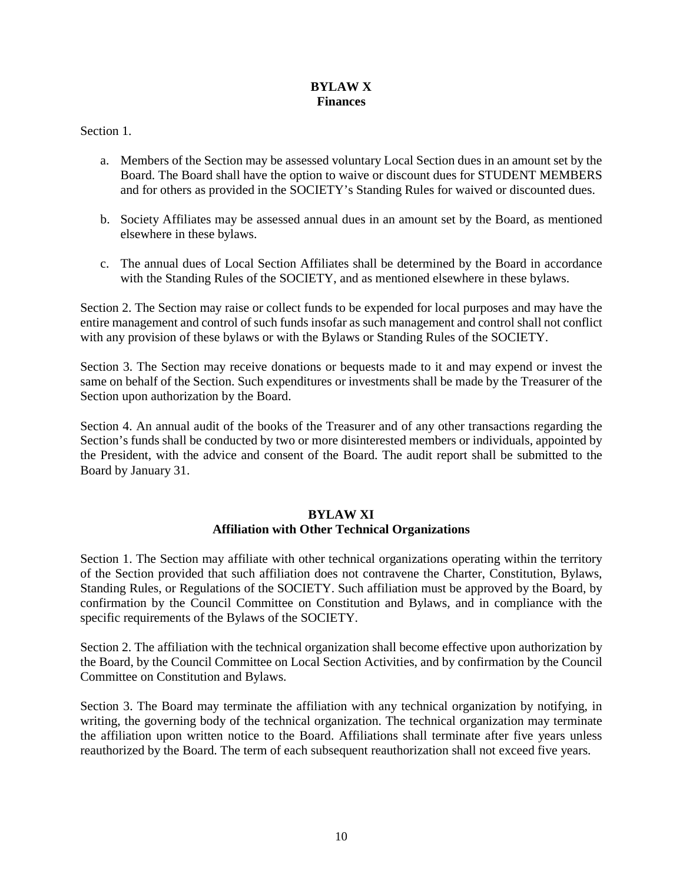## **BYLAW X Finances**

# Section 1.

- a. Members of the Section may be assessed voluntary Local Section dues in an amount set by the Board. The Board shall have the option to waive or discount dues for STUDENT MEMBERS and for others as provided in the SOCIETY's Standing Rules for waived or discounted dues.
- b. Society Affiliates may be assessed annual dues in an amount set by the Board, as mentioned elsewhere in these bylaws.
- c. The annual dues of Local Section Affiliates shall be determined by the Board in accordance with the Standing Rules of the SOCIETY, and as mentioned elsewhere in these bylaws.

Section 2. The Section may raise or collect funds to be expended for local purposes and may have the entire management and control of such funds insofar as such management and control shall not conflict with any provision of these bylaws or with the Bylaws or Standing Rules of the SOCIETY.

Section 3. The Section may receive donations or bequests made to it and may expend or invest the same on behalf of the Section. Such expenditures or investments shall be made by the Treasurer of the Section upon authorization by the Board.

Section 4. An annual audit of the books of the Treasurer and of any other transactions regarding the Section's funds shall be conducted by two or more disinterested members or individuals, appointed by the President, with the advice and consent of the Board. The audit report shall be submitted to the Board by January 31.

# **BYLAW XI Affiliation with Other Technical Organizations**

Section 1. The Section may affiliate with other technical organizations operating within the territory of the Section provided that such affiliation does not contravene the Charter, Constitution, Bylaws, Standing Rules, or Regulations of the SOCIETY. Such affiliation must be approved by the Board, by confirmation by the Council Committee on Constitution and Bylaws, and in compliance with the specific requirements of the Bylaws of the SOCIETY.

Section 2. The affiliation with the technical organization shall become effective upon authorization by the Board, by the Council Committee on Local Section Activities, and by confirmation by the Council Committee on Constitution and Bylaws.

Section 3. The Board may terminate the affiliation with any technical organization by notifying, in writing, the governing body of the technical organization. The technical organization may terminate the affiliation upon written notice to the Board. Affiliations shall terminate after five years unless reauthorized by the Board. The term of each subsequent reauthorization shall not exceed five years.